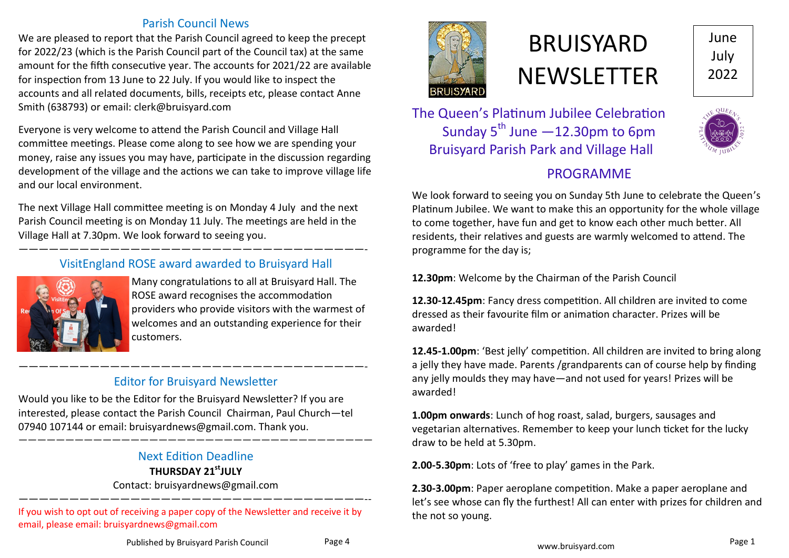#### Parish Council News

We are pleased to report that the Parish Council agreed to keep the precept for 2022/23 (which is the Parish Council part of the Council tax) at the same amount for the fifth consecutive year. The accounts for 2021/22 are available for inspection from 13 June to 22 July. If you would like to inspect the accounts and all related documents, bills, receipts etc, please contact Anne Smith (638793) or email: clerk@bruisyard.com

Everyone is very welcome to attend the Parish Council and Village Hall committee meetings. Please come along to see how we are spending your money, raise any issues you may have, participate in the discussion regarding development of the village and the actions we can take to improve village life and our local environment.

The next Village Hall committee meeting is on Monday 4 July and the next Parish Council meeting is on Monday 11 July. The meetings are held in the Village Hall at 7.30pm. We look forward to seeing you.

#### ——————————————————————————————————- VisitEngland ROSE award awarded to Bruisyard Hall



Many congratulations to all at Bruisyard Hall. The ROSE award recognises the accommodation providers who provide visitors with the warmest of welcomes and an outstanding experience for their customers.

#### ——————————————————————————————————- Editor for Bruisyard Newsletter

Would you like to be the Editor for the Bruisyard Newsletter? If you are interested, please contact the Parish Council Chairman, Paul Church—tel 07940 107144 or email: bruisyardnews@gmail.com. Thank you.

#### Next Edition Deadline **THURSDAY 21stJULY**

——————————————————————————————————————

Contact: bruisyardnews@gmail.com ——————————————————————————————————--

If you wish to opt out of receiving a paper copy of the Newsletter and receive it by email, please email: bruisyardnews@gmail.com

# BRUISYARD **NEWSLETTER**

# June July 2022

The Queen's Platinum Jubilee Celebration Sunday  $5^{th}$  June  $-12.30$ pm to 6pm Bruisyard Parish Park and Village Hall



# **PROGRAMME**

We look forward to seeing you on Sunday 5th June to celebrate the Queen's Platinum Jubilee. We want to make this an opportunity for the whole village to come together, have fun and get to know each other much better. All residents, their relatives and guests are warmly welcomed to attend. The programme for the day is;

**12.30pm**: Welcome by the Chairman of the Parish Council

**12.30-12.45pm**: Fancy dress competition. All children are invited to come dressed as their favourite film or animation character. Prizes will be awarded!

**12.45-1.00pm**: 'Best jelly' competition. All children are invited to bring along a jelly they have made. Parents /grandparents can of course help by finding any jelly moulds they may have—and not used for years! Prizes will be awarded!

**1.00pm onwards**: Lunch of hog roast, salad, burgers, sausages and vegetarian alternatives. Remember to keep your lunch ticket for the lucky draw to be held at 5.30pm.

**2.00-5.30pm**: Lots of 'free to play' games in the Park.

**2.30-3.00pm**: Paper aeroplane competition. Make a paper aeroplane and let's see whose can fly the furthest! All can enter with prizes for children and the not so young.

Published by Bruisyard Parish Council Page 4

www.bruisyard.com